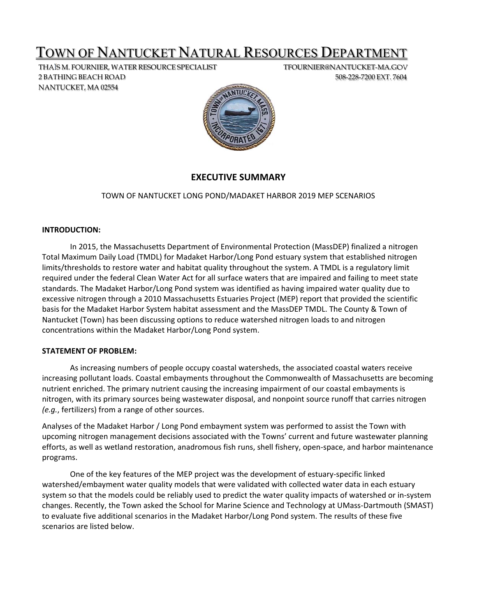# TOWN OF NANTUCKET NATURAL RESOURCES DEPARTMENT

THAÏS M. FOURNIER, WATER RESOURCE SPECIALIST TFOURNIER@NANTUCKET-MA.GOV 2 BATHING BEACH ROAD 508-228-7200 EXT. 7604 NANTUCKET, MA 02554



# **EXECUTIVE SUMMARY**

# TOWN OF NANTUCKET LONG POND/MADAKET HARBOR 2019 MEP SCENARIOS

### **INTRODUCTION:**

In 2015, the Massachusetts Department of Environmental Protection (MassDEP) finalized a nitrogen Total Maximum Daily Load (TMDL) for Madaket Harbor/Long Pond estuary system that established nitrogen limits/thresholds to restore water and habitat quality throughout the system. A TMDL is a regulatory limit required under the federal Clean Water Act for all surface waters that are impaired and failing to meet state standards. The Madaket Harbor/Long Pond system was identified as having impaired water quality due to excessive nitrogen through a 2010 Massachusetts Estuaries Project (MEP) report that provided the scientific basis for the Madaket Harbor System habitat assessment and the MassDEP TMDL. The County & Town of Nantucket (Town) has been discussing options to reduce watershed nitrogen loads to and nitrogen concentrations within the Madaket Harbor/Long Pond system.

#### **STATEMENT OF PROBLEM:**

As increasing numbers of people occupy coastal watersheds, the associated coastal waters receive increasing pollutant loads. Coastal embayments throughout the Commonwealth of Massachusetts are becoming nutrient enriched. The primary nutrient causing the increasing impairment of our coastal embayments is nitrogen, with its primary sources being wastewater disposal, and nonpoint source runoff that carries nitrogen *(e.g.*, fertilizers) from a range of other sources.

Analyses of the Madaket Harbor / Long Pond embayment system was performed to assist the Town with upcoming nitrogen management decisions associated with the Towns' current and future wastewater planning efforts, as well as wetland restoration, anadromous fish runs, shell fishery, open‐space, and harbor maintenance programs.

One of the key features of the MEP project was the development of estuary‐specific linked watershed/embayment water quality models that were validated with collected water data in each estuary system so that the models could be reliably used to predict the water quality impacts of watershed or in‐system changes. Recently, the Town asked the School for Marine Science and Technology at UMass‐Dartmouth (SMAST) to evaluate five additional scenarios in the Madaket Harbor/Long Pond system. The results of these five scenarios are listed below.